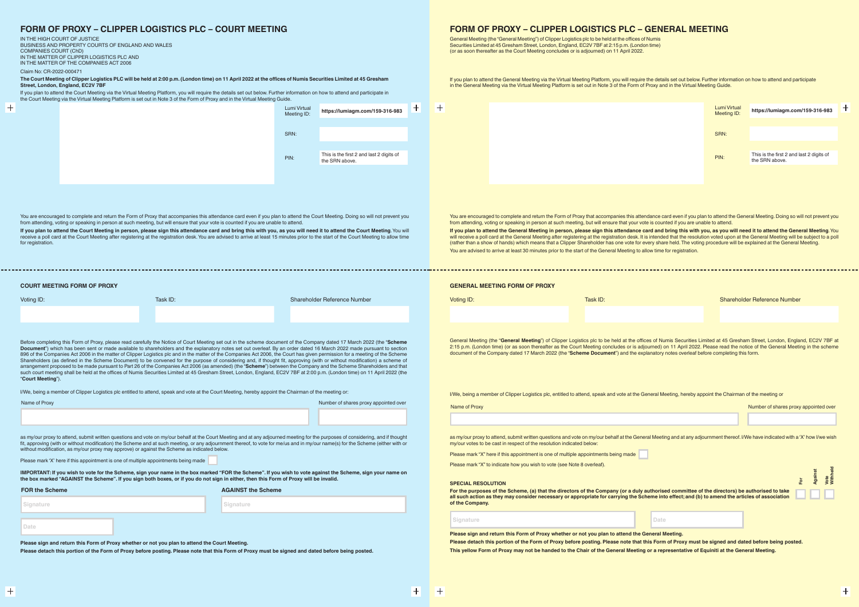**COURT MEETING FORM OF PROXY**

 $\left| + \right|$ 

Voting ID: Task ID: Shareholder Reference Number

 $\pm$ 

Voting ID: Task ID: Shareholder Reference Number

Name of Proxy **Number of Shares proxy appointed over** Number of shares proxy appointed over

General Meeting (the "General Meeting") of Clipper Logistics plc to be held at the offices of Numis Securities Limited at 45 Gresham Street, London, England, EC2V 7BF at 2:15 p.m. (London time) (or as soon thereafter as the Court Meeting concludes or is adjourned) on 11 April 2022. Please read the notice of the General Meeting in the scheme document of the Company dated 17 March 2022 (the "**Scheme Document**") and the explanatory notes overleaf before completing this form.

You are encouraged to complete and return the Form of Proxy that accompanies this attendance card even if you plan to attend the General Meeting. Doing so will not prevent you from attending, voting or speaking in person at such meeting, but will ensure that your vote is counted if you are unable to attend **If you plan to attend the General Meeting in person, please sign this attendance card and bring this with you, as you will need it to attend the General Meeting**. You will receive a poll card at the General Meeting after registering at the registration desk. It is intended that the resolution voted upon at the General Meeting will be subject to a poll (rather than a show of hands) which means that a Clipper Shareholder has one vote for every share held. The voting procedure will be explained at the General Meeting. You are advised to arrive at least 30 minutes prior to the start of the General Meeting to allow time for registration.

You are encouraged to complete and return the Form of Proxy that accompanies this attendance card even if you plan to attend the Court Meeting. Doing so will not prevent you from attending, voting or speaking in person at such meeting, but will ensure that your vote is counted if you are unable to attend.

**If you plan to attend the Court Meeting in person, please sign this attendance card and bring this with you, as you will need it to attend the Court Meeting**. You will receive a poll card at the Court Meeting after registering at the registration desk. You are advised to arrive at least 15 minutes prior to the start of the Court Meeting to allow time for registration

If you plan to attend the Court Meeting via the Virtual Meeting Platform, you will require the details set out below. Further information on how to attend and participate in the Court Meeting via the Virtual Meeting via th the Court Meeting via the Virtual Meeting Platform is set out in Note 3 of the Form of Proxy and in the Virtual Meeting Guide.

Before completing this Form of Proxy, please read carefully the Notice of Court Meeting set out in the scheme document of the Company dated 17 March 2022 (the "**Scheme Document**") which has been sent or made available to shareholders and the explanatory notes set out overleaf. By an order dated 16 March 2022 made pursuant to section 896 of the Companies Act 2006 in the matter of Clipper Logistics plc and in the matter of the Companies Act 2006, the Court has given permission for a meeting of the Scheme Shareholders (as defined in the Scheme Document) to be convened for the purpose of considering and, if thought fit, approving (with or without modification) a scheme of arrangement proposed to be made pursuant to Part 26 of the Companies Act 2006 (as amended) (the "**Scheme**") between the Company and the Scheme Shareholders and that such court meeting shall be held at the offices of Numis Securities Limited at 45 Gresham Street, London, England, EC2V 7BF at 2:00 p.m. (London time) on 11 April 2022 (the "**Court Meeting**").

> as my/our proxy to attend, submit written questions and yote on my/our behalf at the General Meeting and at any adjournment thereof. I/We have indicated with a 'X' how I/we wish my/our votes to be cast in respect of the resolution indicated below:

For the purposes of the Scheme, (a) that the directors of the Company (or a duly at all such action as they may consider necessary or appropriate for carrying the Sche **of the Company.**

I/We, being a member of Clipper Logistics plc entitled to attend, speak and vote at the Court Meeting, hereby appoint the Chairman of the meeting or:

| Name of Proxy |  | Number of shares proxy appointed over |  |  |
|---------------|--|---------------------------------------|--|--|
|               |  |                                       |  |  |
|               |  |                                       |  |  |

as my/our proxy to attend, submit written questions and vote on my/our behalf at the Court Meeting and at any adjourned meeting for the purposes of considering, and if thought fit, approving (with or without modification) the Scheme and at such meeting, or any adjournment thereof, to vote for me/us and in my/our name(s) for the Scheme (either with or without modification, as my/our proxy may approve) or against the Scheme as indicated below.

Please mark 'X' here if this appointment is one of multiple appointments being made

**IMPORTANT: If you wish to vote for the Scheme, sign your name in the box marked "FOR the Scheme". If you wish to vote against the Scheme, sign your name on the box marked "AGAINST the Scheme". If you sign both boxes, or if you do not sign in either, then this Form of Proxy will be invalid.**

| <b>FOR the Scheme</b> | <b>AGAINST the Scheme</b> |  |
|-----------------------|---------------------------|--|
| Signature             | Signature                 |  |
| Date                  |                           |  |

**Please sign and return this Form of Proxy whether or not you plan to attend the Court Meeting.** 

**Please detach this portion of the Form of Proxy before posting. Please note that this Form of Proxy must be signed and dated before being posted.**

## **FORM OF PROXY – CLIPPER LOGISTICS PLC – COURT MEETING**

IN THE HIGH COURT OF JUSTICE BUSINESS AND PROPERTY COURTS OF ENGLAND AND WALES COMPANIES COURT (ChD) IN THE MATTER OF CLIPPER LOGISTICS PLC AND IN THE MATTER OF THE COMPANIES ACT 2006 Claim No: CR-2022-000471

**The Court Meeting of Clipper Logistics PLC will be held at 2:00 p.m. (London time) on 11 April 2022 at the offices of Numis Securities Limited at 45 Gresham Street, London, England, EC2V 7BF**

I/We, being a member of Clipper Logistics plc, entitled to attend, speak and vote at the General Meeting, hereby appoint the Chairman of the meeting or

Please mark "X" here if this appointment is one of multiple appointments being made

Please mark "X" to indicate how you wish to vote (see Note 8 overleaf).

**SPECIAL RESOLUTION**

|                                                                                                                              |      | ō | <u>m</u><br><b>Again</b> | Vote<br>Withhel |
|------------------------------------------------------------------------------------------------------------------------------|------|---|--------------------------|-----------------|
| ithorised committee of the directors) be authorised to take<br>eme into effect; and (b) to amend the articles of association |      |   |                          |                 |
|                                                                                                                              | Date |   |                          |                 |

**Signature Date**

**Please sign and return this Form of Proxy whether or not you plan to attend the General Meeting. Please detach this portion of the Form of Proxy before posting. Please note that this Form of Proxy must be signed and dated before being posted. This yellow Form of Proxy may not be handed to the Chair of the General Meeting or a representative of Equiniti at the General Meeting.**

the details set out below. Further information on how to attend and participate Proxy and in the Virtual Meeting Guide.

## **FORM OF PROXY – CLIPPER LOGISTICS PLC – GENERAL MEETING**

General Meeting (the "General Meeting") of Clipper Logistics plc to be held at the offices of Numis Securities Limited at 45 Gresham Street, London, England, EC2V 7BF at 2:15 p.m. (London time) (or as soon thereafter as the Court Meeting concludes or is adjourned) on 11 April 2022.

| If you plan to attend the General Meeting via the Virtual Meeting Platform, you will require  |
|-----------------------------------------------------------------------------------------------|
| in the General Meeting via the Virtual Meeting Platform is set out in Note 3 of the Form of I |

| ig via the Virtual Meeting Platform is set out in Note 3 of the Porni of Proxy and in the Virtual Meeting Guide. |                             |                                                            |
|------------------------------------------------------------------------------------------------------------------|-----------------------------|------------------------------------------------------------|
|                                                                                                                  | Lumi Virtual<br>Meeting ID: | https://lumiagm.com/159-316-983                            |
|                                                                                                                  |                             |                                                            |
|                                                                                                                  | SRN:                        |                                                            |
|                                                                                                                  |                             |                                                            |
|                                                                                                                  | PIN:                        | This is the first 2 and last 2 digits of<br>the SRN above. |
|                                                                                                                  |                             |                                                            |
|                                                                                                                  |                             |                                                            |
|                                                                                                                  |                             |                                                            |

| Lumi Virtual<br>Meeting ID: | https://lumiagm.com/159-316-983          |  |
|-----------------------------|------------------------------------------|--|
| SRN:                        |                                          |  |
| PIN:                        | This is the first 2 and last 2 digits of |  |
|                             | the SRN above.                           |  |